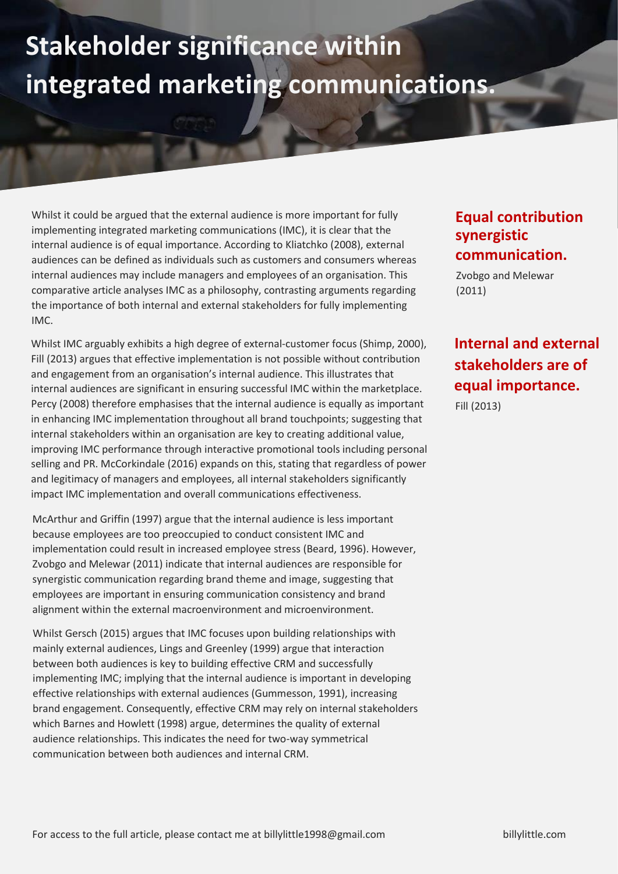## **Stakeholder significance within integrated marketing communications.**

Whilst it could be argued that the external audience is more important for fully implementing integrated marketing communications (IMC), it is clear that the internal audience is of equal importance. According to Kliatchko (2008), external audiences can be defined as individuals such as customers and consumers whereas internal audiences may include managers and employees of an organisation. This comparative article analyses IMC as a philosophy, contrasting arguments regarding the importance of both internal and external stakeholders for fully implementing IMC.

Whilst IMC arguably exhibits a high degree of external-customer focus (Shimp, 2000), Fill (2013) argues that effective implementation is not possible without contribution and engagement from an organisation's internal audience. This illustrates that internal audiences are significant in ensuring successful IMC within the marketplace. Percy (2008) therefore emphasises that the internal audience is equally as important in enhancing IMC implementation throughout all brand touchpoints; suggesting that internal stakeholders within an organisation are key to creating additional value, improving IMC performance through interactive promotional tools including personal selling and PR. McCorkindale (2016) expands on this, stating that regardless of power and legitimacy of managers and employees, all internal stakeholders significantly impact IMC implementation and overall communications effectiveness.

McArthur and Griffin (1997) argue that the internal audience is less important because employees are too preoccupied to conduct consistent IMC and implementation could result in increased employee stress (Beard, 1996). However, Zvobgo and Melewar (2011) indicate that internal audiences are responsible for synergistic communication regarding brand theme and image, suggesting that employees are important in ensuring communication consistency and brand alignment within the external macroenvironment and microenvironment.

Whilst Gersch (2015) argues that IMC focuses upon building relationships with mainly external audiences, Lings and Greenley (1999) argue that interaction between both audiences is key to building effective CRM and successfully implementing IMC; implying that the internal audience is important in developing effective relationships with external audiences (Gummesson, 1991), increasing brand engagement. Consequently, effective CRM may rely on internal stakeholders which Barnes and Howlett (1998) argue, determines the quality of external audience relationships. This indicates the need for two-way symmetrical communication between both audiences and internal CRM.

## **Equal contribution equals synergistic communication.**

Zvobgo and Melewar (2011)

## **Internal and external stakeholders are of equal importance.**

Fill (2013)